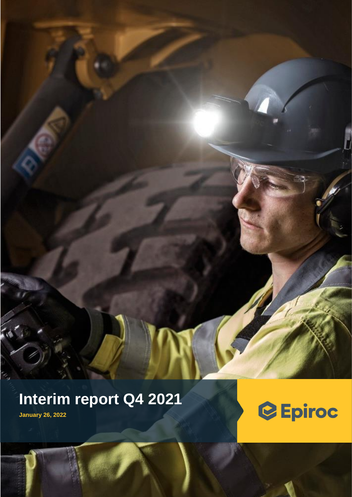# **Interim report Q4 2021**

Epiroc AB Interim Report January – December 2021 1 (28)

**January 26, 2022**

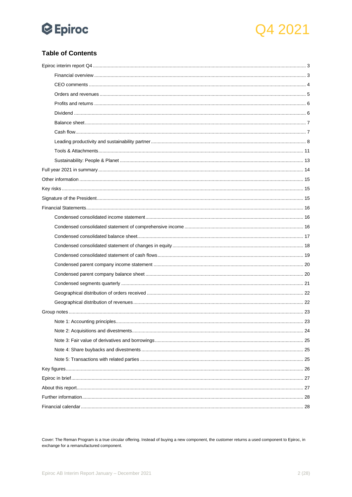



### **Table of Contents**

Cover: The Reman Program is a true circular offering. Instead of buying a new component, the customer returns a used component to Epiroc, in exchange for a remanufactured component.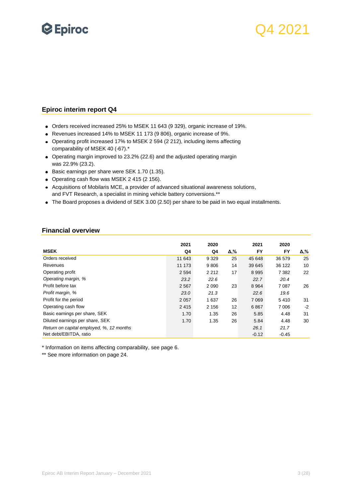

### <span id="page-2-0"></span>**Epiroc interim report Q4**

- Orders received increased 25% to MSEK 11 643 (9 329), organic increase of 19%.
- Revenues increased 14% to MSEK 11 173 (9 806), organic increase of 9%.
- Operating profit increased 17% to MSEK 2 594 (2 212), including items affecting comparability of MSEK 40 (-67).\*
- Operating margin improved to 23.2% (22.6) and the adjusted operating margin was 22.9% (23.2).
- Basic earnings per share were SEK 1.70 (1.35).
- Operating cash flow was MSEK 2 415 (2 156).
- Acquisitions of Mobilaris MCE, a provider of advanced situational awareness solutions, and FVT Research, a specialist in mining vehicle battery conversions.\*\*
- The Board proposes a dividend of SEK 3.00 (2.50) per share to be paid in two equal installments.

#### <span id="page-2-1"></span>**Financial overview**

|                                          | 2021    | 2020    |     | 2021    | 2020    |      |
|------------------------------------------|---------|---------|-----|---------|---------|------|
| <b>MSEK</b>                              | Q4      | Q4      | Δ,% | FY      | FY      | Δ,%  |
| Orders received                          | 11 643  | 9 3 2 9 | 25  | 45 648  | 36 579  | 25   |
| Revenues                                 | 11 173  | 9806    | 14  | 39 645  | 36 122  | 10   |
| Operating profit                         | 2 5 9 4 | 2 2 1 2 | 17  | 8995    | 7 3 8 2 | 22   |
| Operating margin, %                      | 23.2    | 22.6    |     | 22.7    | 20.4    |      |
| Profit before tax                        | 2 5 6 7 | 2090    | 23  | 8964    | 7 0 8 7 | 26   |
| Profit margin, %                         | 23.0    | 21.3    |     | 22.6    | 19.6    |      |
| Profit for the period                    | 2 0 5 7 | 1637    | 26  | 7 0 6 9 | 5410    | 31   |
| Operating cash flow                      | 2415    | 2 1 5 6 | 12  | 6867    | 7 0 0 6 | $-2$ |
| Basic earnings per share, SEK            | 1.70    | 1.35    | 26  | 5.85    | 4.48    | 31   |
| Diluted earnings per share, SEK          | 1.70    | 1.35    | 26  | 5.84    | 4.48    | 30   |
| Return on capital employed, %, 12 months |         |         |     | 26.1    | 21.7    |      |
| Net debt/EBITDA, ratio                   |         |         |     | $-0.12$ | $-0.45$ |      |

\* Information on items affecting comparability, see page 6.

\*\* See more information on page 24.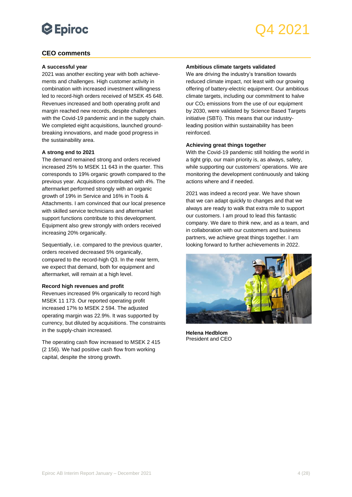## Q4 2021

### <span id="page-3-0"></span>**CEO comments**

#### **A successful year**

2021 was another exciting year with both achievements and challenges. High customer activity in combination with increased investment willingness led to record-high orders received of MSEK 45 648. Revenues increased and both operating profit and margin reached new records, despite challenges with the Covid-19 pandemic and in the supply chain. We completed eight acquisitions, launched groundbreaking innovations, and made good progress in the sustainability area.

#### **A strong end to 2021**

The demand remained strong and orders received increased 25% to MSEK 11 643 in the quarter. This corresponds to 19% organic growth compared to the previous year. Acquisitions contributed with 4%. The aftermarket performed strongly with an organic growth of 19% in Service and 16% in Tools & Attachments. I am convinced that our local presence with skilled service technicians and aftermarket support functions contribute to this development. Equipment also grew strongly with orders received increasing 20% organically.

Sequentially, i.e. compared to the previous quarter, orders received decreased 5% organically, compared to the record-high Q3. In the near term, we expect that demand, both for equipment and aftermarket, will remain at a high level.

#### **Record high revenues and profit**

Revenues increased 9% organically to record high MSEK 11 173. Our reported operating profit increased 17% to MSEK 2 594. The adjusted operating margin was 22.9%. It was supported by currency, but diluted by acquisitions. The constraints in the supply-chain increased.

The operating cash flow increased to MSEK 2 415 (2 156). We had positive cash flow from working capital, despite the strong growth.

#### **Ambitious climate targets validated**

We are driving the industry's transition towards reduced climate impact, not least with our growing offering of battery-electric equipment. Our ambitious climate targets, including our commitment to halve our CO<sup>2</sup> emissions from the use of our equipment by 2030, were validated by Science Based Targets initiative (SBTi). This means that our industryleading position within sustainability has been reinforced.

#### **Achieving great things together**

With the Covid-19 pandemic still holding the world in a tight grip, our main priority is, as always, safety, while supporting our customers' operations. We are monitoring the development continuously and taking actions where and if needed.

2021 was indeed a record year. We have shown that we can adapt quickly to changes and that we always are ready to walk that extra mile to support our customers. I am proud to lead this fantastic company. We dare to think new, and as a team, and in collaboration with our customers and business partners, we achieve great things together. I am looking forward to further achievements in 2022.



**Helena Hedblom** President and CEO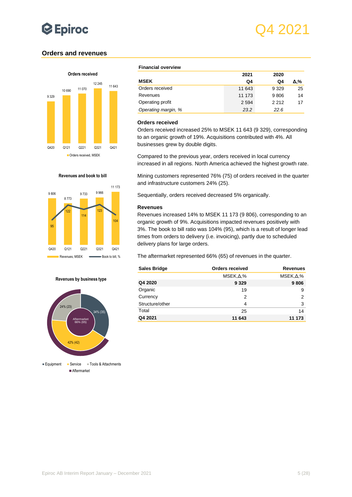

### <span id="page-4-0"></span>**Orders and revenues**



#### **Financial overview**

|                     | 2021    | 2020    |     |
|---------------------|---------|---------|-----|
| <b>MSEK</b>         | Q4      | Q4      | Δ,% |
| Orders received     | 11 643  | 9 3 2 9 | 25  |
| Revenues            | 11 173  | 9806    | 14  |
| Operating profit    | 2 5 9 4 | 2212    | 17  |
| Operating margin, % | 23.2    | 22.6    |     |

#### **Orders received**

Orders received increased 25% to MSEK 11 643 (9 329), corresponding to an organic growth of 19%. Acquisitions contributed with 4%. All businesses grew by double digits.

Compared to the previous year, orders received in local currency increased in all regions. North America achieved the highest growth rate.

Mining customers represented 76% (75) of orders received in the quarter and infrastructure customers 24% (25).

Sequentially, orders received decreased 5% organically.

#### **Revenues**

Revenues increased 14% to MSEK 11 173 (9 806), corresponding to an organic growth of 9%. Acquisitions impacted revenues positively with 3%. The book to bill ratio was 104% (95), which is a result of longer lead times from orders to delivery (i.e. invoicing), partly due to scheduled delivery plans for large orders.

The aftermarket represented 66% (65) of revenues in the quarter.

| <b>Sales Bridge</b> | Orders received              | <b>Revenues</b>    |
|---------------------|------------------------------|--------------------|
|                     | $MSEK1\Delta$ <sub>1</sub> % | $MSEK, \Delta, \%$ |
| Q4 2020             | 9 3 2 9                      | 9806               |
| Organic             | 19                           | 9                  |
| Currency            | 2                            | 2                  |
| Structure/other     | 4                            | 3                  |
| Total               | 25                           | 14                 |
| Q4 2021             | 11 643                       | 11 173             |





#### **Revenues by business type**

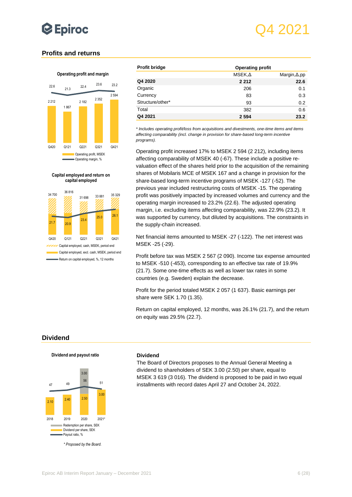

### <span id="page-5-0"></span>**Profits and returns**

#### **Operating profit and margin**



**Capital employed and return on capital employed**



| <b>Profit bridge</b> | <b>Operating profit</b> |                      |
|----------------------|-------------------------|----------------------|
|                      | $MSEK1\Delta$           | Margin, $\Delta$ ,pp |
| Q4 2020              | 2 2 1 2                 | 22.6                 |
| Organic              | 206                     | 0.1                  |
| Currency             | 83                      | 0.3                  |
| Structure/other*     | 93                      | 0.2                  |
| Total                | 382                     | 0.6                  |
| Q4 2021              | 2 5 9 4                 | 23.2                 |

*\* Includes operating profit/loss from acquisitions and divestments, one-time items and items affecting comparability (incl. change in provision for share-based long-term incentive programs).*

Operating profit increased 17% to MSEK 2 594 (2 212), including items affecting comparability of MSEK 40 (-67). These include a positive revaluation effect of the shares held prior to the acquisition of the remaining shares of Mobilaris MCE of MSEK 167 and a change in provision for the share-based long-term incentive programs of MSEK -127 (-52). The previous year included restructuring costs of MSEK -15. The operating profit was positively impacted by increased volumes and currency and the operating margin increased to 23.2% (22.6). The adjusted operating margin, i.e. excluding items affecting comparability, was 22.9% (23.2). It was supported by currency, but diluted by acquisitions. The constraints in the supply-chain increased.

Net financial items amounted to MSEK -27 (-122). The net interest was MSEK -25 (-29).

Profit before tax was MSEK 2 567 (2 090). Income tax expense amounted to MSEK -510 (-453), corresponding to an effective tax rate of 19.9% (21.7). Some one-time effects as well as lower tax rates in some countries (e.g. Sweden) explain the decrease.

Profit for the period totaled MSEK 2 057 (1 637). Basic earnings per share were SEK 1.70 (1.35).

Return on capital employed, 12 months, was 26.1% (21.7), and the return on equity was 29.5% (22.7).

### <span id="page-5-1"></span>**Dividend**

#### **Dividend and payout ratio**



#### **Dividend**

The Board of Directors proposes to the Annual General Meeting a dividend to shareholders of SEK 3.00 (2.50) per share, equal to MSEK 3 619 (3 016). The dividend is proposed to be paid in two equal installments with record dates April 27 and October 24, 2022.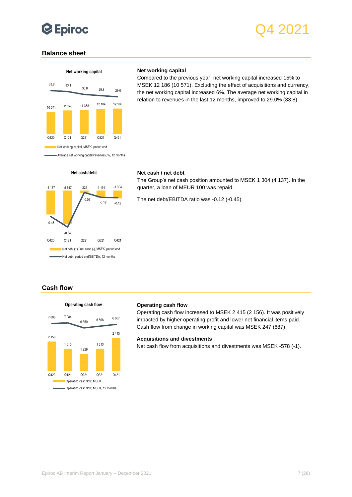

### <span id="page-6-0"></span>**Balance sheet**



#### **Net working capital**

Compared to the previous year, net working capital increased 15% to MSEK 12 186 (10 571). Excluding the effect of acquisitions and currency, the net working capital increased 6%. The average net working capital in relation to revenues in the last 12 months, improved to 29.0% (33.8).



#### **Net cash / net debt**

The Group's net cash position amounted to MSEK 1 304 (4 137). In the quarter, a loan of MEUR 100 was repaid.

The net debt/EBITDA ratio was -0.12 (-0.45).

### <span id="page-6-1"></span>**Cash flow**



#### **Operating cash flow**

Operating cash flow increased to MSEK 2 415 (2 156). It was positively impacted by higher operating profit and lower net financial items paid. Cash flow from change in working capital was MSEK 247 (687).

#### **Acquisitions and divestments**

Net cash flow from acquisitions and divestments was MSEK -578 (-1).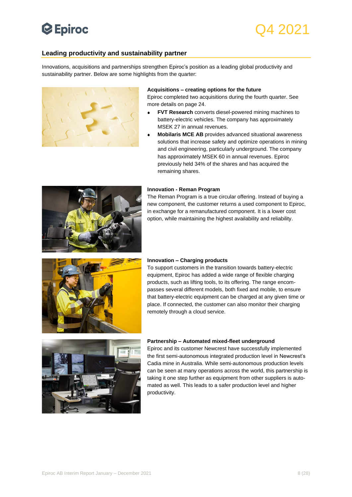## **Epiroc**

## <span id="page-7-0"></span>**Leading productivity and sustainability partner**

Innovations, acquisitions and partnerships strengthen Epiroc's position as a leading global productivity and sustainability partner. Below are some highlights from the quarter:



#### **Acquisitions – creating options for the future**

Epiroc completed two acquisitions during the fourth quarter. See more details on page 24.

- **FVT Research** converts diesel-powered mining machines to battery-electric vehicles. The company has approximately MSEK 27 in annual revenues.
- **Mobilaris MCE AB** provides advanced situational awareness solutions that increase safety and optimize operations in mining and civil engineering, particularly underground. The company has approximately MSEK 60 in annual revenues. Epiroc previously held 34% of the shares and has acquired the remaining shares.



The Reman Program is a true circular offering. Instead of buying a new component, the customer returns a used component to Epiroc, in exchange for a remanufactured component. It is a lower cost option, while maintaining the highest availability and reliability.



#### **Innovation – Charging products**

To support customers in the transition towards battery-electric equipment, Epiroc has added a wide range of flexible charging products, such as lifting tools, to its offering. The range encompasses several different models, both fixed and mobile, to ensure that battery-electric equipment can be charged at any given time or place. If connected, the customer can also monitor their charging remotely through a cloud service.



#### **Partnership – Automated mixed-fleet underground**

Epiroc and its customer Newcrest have successfully implemented the first semi-autonomous integrated production level in Newcrest's Cadia mine in Australia. While semi-autonomous production levels can be seen at many operations across the world, this partnership is taking it one step further as equipment from other suppliers is automated as well. This leads to a safer production level and higher productivity.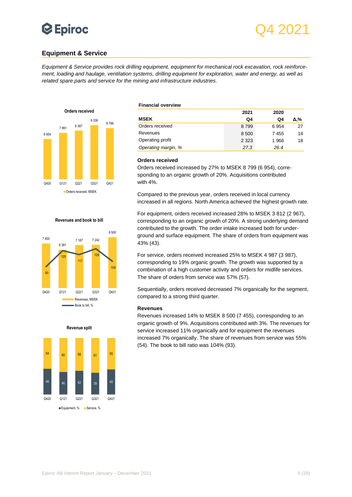## **Equipment & Service**

*Equipment & Service provides rock drilling equipment, equipment for mechanical rock excavation, rock reinforcement, loading and haulage, ventilation systems, drilling equipment for exploration, water and energy, as well as related spare parts and service for the mining and infrastructure industries.*



## **Financial overview**

|                     | 2021    | 2020 |     |
|---------------------|---------|------|-----|
| <b>MSEK</b>         | Q4      | Q4   | Δ.% |
| Orders received     | 8799    | 6954 | 27  |
| Revenues            | 8 500   | 7455 | 14  |
| Operating profit    | 2 3 2 3 | 1966 | 18  |
| Operating margin, % | 27.3    | 26.4 |     |

#### **Orders received**

Orders received increased by 27% to MSEK 8 799 (6 954), corresponding to an organic growth of 20%. Acquisitions contributed with 4%.

Compared to the previous year, orders received in local currency increased in all regions. North America achieved the highest growth rate.

For equipment, orders received increased 28% to MSEK 3 812 (2 967), corresponding to an organic growth of 20%. A strong underlying demand contributed to the growth. The order intake increased both for underground and surface equipment. The share of orders from equipment was 43% (43).

For service, orders received increased 25% to MSEK 4 987 (3 987), corresponding to 19% organic growth. The growth was supported by a combination of a high customer activity and orders for midlife services. The share of orders from service was 57% (57).

Sequentially, orders received decreased 7% organically for the segment, compared to a strong third quarter.

#### **Revenues**

Revenues increased 14% to MSEK 8 500 (7 455), corresponding to an organic growth of 9%. Acquisitions contributed with 3%. The revenues for service increased 11% organically and for equipment the revenues increased 7% organically. The share of revenues from service was 55% (54). The book to bill ratio was 104% (93).



7 187 7 242

**Revenues and book to bill**

8 500

7 455

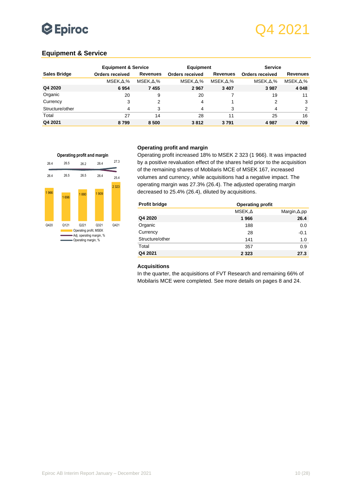## Q4 2021

### **Equipment & Service**

|                     | <b>Equipment &amp; Service</b> |                  | <b>Equipment</b>       |                  | <b>Service</b>         |                  |
|---------------------|--------------------------------|------------------|------------------------|------------------|------------------------|------------------|
| <b>Sales Bridge</b> | Orders received                | <b>Revenues</b>  | <b>Orders received</b> | <b>Revenues</b>  | <b>Orders received</b> | <b>Revenues</b>  |
|                     | $MSEK1\Delta$ ,%               | $MSEK.\Delta.\%$ | $MSEK1, \Delta, \%$    | $MSEK1\Delta$ ,% | $MSEK1\Delta$ ,%       | $MSEK1\Delta$ ,% |
| Q4 2020             | 6954                           | 7455             | 2967                   | 3 4 0 7          | 3987                   | 4 0 4 8          |
| Organic             | 20                             | 9                | 20                     |                  | 19                     | 11               |
| Currency            | 3                              | 2                | 4                      |                  | 2                      | 3                |
| Structure/other     | 4                              | 3                | 4                      | 3                | 4                      | 2                |
| Total               | 27                             | 14               | 28                     | 11               | 25                     | 16               |
| Q4 2021             | 8799                           | 8 500            | 3812                   | 3791             | 4987                   | 4709             |

#### **Operating profit and margin**



#### **Operating profit and margin**

Operating profit increased 18% to MSEK 2 323 (1 966). It was impacted by a positive revaluation effect of the shares held prior to the acquisition of the remaining shares of Mobilaris MCE of MSEK 167, increased volumes and currency, while acquisitions had a negative impact. The operating margin was 27.3% (26.4). The adjusted operating margin decreased to 25.4% (26.4), diluted by acquisitions.

| <b>Profit bridge</b> | <b>Operating profit</b> |                      |
|----------------------|-------------------------|----------------------|
|                      | $MSEK1\Delta$           | Margin, $\Delta$ ,pp |
| Q4 2020              | 1966                    | 26.4                 |
| Organic              | 188                     | 0.0                  |
| Currency             | 28                      | $-0.1$               |
| Structure/other      | 141                     | 1.0                  |
| Total                | 357                     | 0.9                  |
| Q4 2021              | 2 3 2 3                 | 27.3                 |

#### **Acquisitions**

In the quarter, the acquisitions of FVT Research and remaining 66% of Mobilaris MCE were completed. See more details on pages 8 and 24.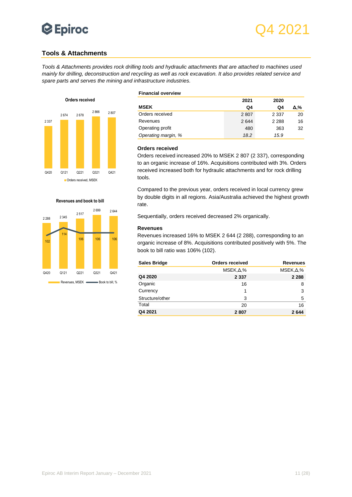

### <span id="page-10-0"></span>**Tools & Attachments**

*Tools & Attachments provides rock drilling tools and hydraulic attachments that are attached to machines used mainly for drilling, deconstruction and recycling as well as rock excavation. It also provides related service and spare parts and serves the mining and infrastructure industries.*



#### **Corders received, MSEK**



#### **Financial overview**

|                     | 2021 | 2020    |     |
|---------------------|------|---------|-----|
| <b>MSEK</b>         | Q4   | Q4      | Δ,% |
| Orders received     | 2807 | 2 3 3 7 | 20  |
| Revenues            | 2644 | 2 2 8 8 | 16  |
| Operating profit    | 480  | 363     | 32  |
| Operating margin, % | 18.2 | 15.9    |     |

#### **Orders received**

Orders received increased 20% to MSEK 2 807 (2 337), corresponding to an organic increase of 16%. Acquisitions contributed with 3%. Orders received increased both for hydraulic attachments and for rock drilling tools.

Compared to the previous year, orders received in local currency grew by double digits in all regions. Asia/Australia achieved the highest growth rate.

Sequentially, orders received decreased 2% organically.

#### **Revenues**

Revenues increased 16% to MSEK 2 644 (2 288), corresponding to an organic increase of 8%. Acquisitions contributed positively with 5%. The book to bill ratio was 106% (102).

| <b>Sales Bridge</b> | <b>Orders received</b>       | <b>Revenues</b>    |
|---------------------|------------------------------|--------------------|
|                     | $MSEK1\Delta$ <sub>1</sub> % | $MSEK, \Delta, \%$ |
| Q4 2020             | 2 3 3 7                      | 2 2 8 8            |
| Organic             | 16                           | 8                  |
| Currency            |                              | 3                  |
| Structure/other     | 3                            | 5                  |
| Total               | 20                           | 16                 |
| Q4 2021             | 2807                         | 2644               |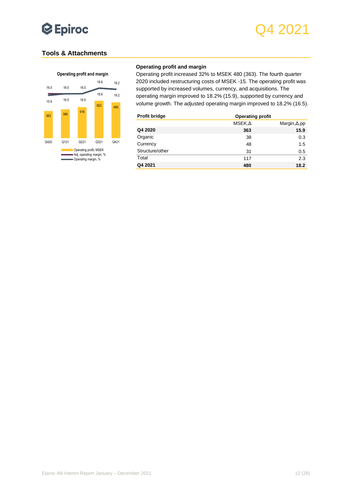

### **Tools & Attachments**



#### **Operating profit and margin**

Operating profit increased 32% to MSEK 480 (363). The fourth quarter 2020 included restructuring costs of MSEK -15. The operating profit was supported by increased volumes, currency, and acquisitions. The operating margin improved to 18.2% (15.9), supported by currency and volume growth. The adjusted operating margin improved to 18.2% (16.5).

| <b>Profit bridge</b> | <b>Operating profit</b> |                      |
|----------------------|-------------------------|----------------------|
|                      | MSEK, A                 | Margin, $\Delta$ ,pp |
| Q4 2020              | 363                     | 15.9                 |
| Organic              | 38                      | 0.3                  |
| Currency             | 48                      | 1.5                  |
| Structure/other      | 31                      | 0.5                  |
| Total                | 117                     | 2.3                  |
| Q4 2021              | 480                     | 18.2                 |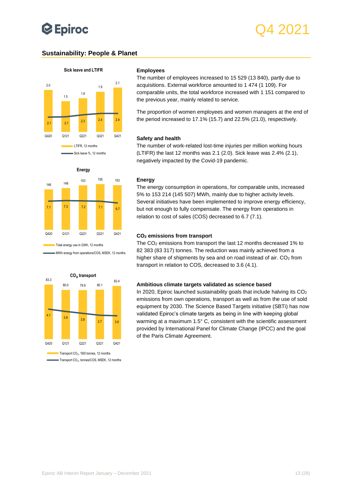## <span id="page-12-0"></span>**Sustainability: People & Planet**



#### **Employees**

The number of employees increased to 15 529 (13 840), partly due to acquisitions. External workforce amounted to 1 474 (1 109). For comparable units, the total workforce increased with 1 151 compared to the previous year, mainly related to service.

The proportion of women employees and women managers at the end of the period increased to 17.1% (15.7) and 22.5% (21.0), respectively.

#### **Safety and health**

The number of work-related lost-time injuries per million working hours (LTIFR) the last 12 months was 2.1 (2.0). Sick leave was 2.4% (2.1), negatively impacted by the Covid-19 pandemic.

## <sup>146</sup> <sup>148</sup> <sup>153</sup> <sup>155</sup> <sup>153</sup> 7.1 7.3 7.2 7.1 6.7 Q420 Q121 Q221 Q321 Q421 **Energy**

Total energy use in GWh, 12 months

MWh energy from operations/COS, MSEK, 12 months



■ Transport CO<sub>2</sub>, tonnes/COS, MSEK, 12 months

#### **Energy**

The energy consumption in operations, for comparable units, increased 5% to 153 214 (145 507) MWh, mainly due to higher activity levels. Several initiatives have been implemented to improve energy efficiency, but not enough to fully compensate. The energy from operations in relation to cost of sales (COS) decreased to 6.7 (7.1).

#### **CO<sup>2</sup> emissions from transport**

The CO<sup>2</sup> emissions from transport the last 12 months decreased 1% to 82 383 (83 317) tonnes. The reduction was mainly achieved from a higher share of shipments by sea and on road instead of air. CO<sub>2</sub> from transport in relation to COS, decreased to 3.6 (4.1).

#### **Ambitious climate targets validated as science based**

In 2020, Epiroc launched sustainability goals that include halving its  $CO<sub>2</sub>$ emissions from own operations, transport as well as from the use of sold equipment by 2030. The Science Based Targets initiative (SBTi) has now validated Epiroc's climate targets as being in line with keeping global warming at a maximum 1.5° C, consistent with the scientific assessment provided by International Panel for Climate Change (IPCC) and the goal of the Paris Climate Agreement.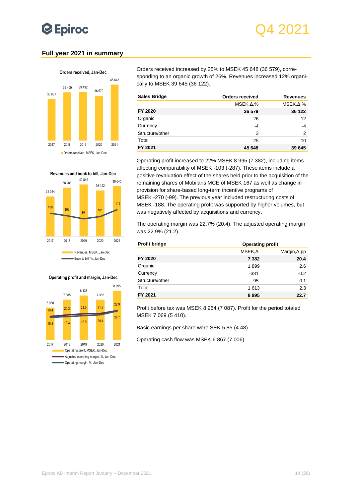## **Epiroc**

## <span id="page-13-0"></span>**Full year 2021 in summary**



31 364 38 285 40 849 36 122 39 645 <sup>108</sup> <sup>103</sup> <sup>97</sup> <sup>101</sup> 115 2017 2018 2019 2020 2021 **Revenues and book to bill, Jan-Dec** Revenues, MSEK, Jan-Dec Book to bill, %, Jan-Dec

#### **Operating profit and margin, Jan-Dec**



Orders received increased by 25% to MSEK 45 648 (36 579), corresponding to an organic growth of 26%. Revenues increased 12% organically to MSEK 39 645 (36 122).

| <b>Sales Bridge</b> | <b>Orders received</b> | <b>Revenues</b>  |
|---------------------|------------------------|------------------|
|                     | $MSEK1 \Delta2$ %      | $MSEK1\Delta$ ,% |
| FY 2020             | 36 579                 | 36 122           |
| Organic             | 26                     | 12               |
| Currency            | $-4$                   | -4               |
| Structure/other     | 3                      | 2                |
| Total               | 25                     | 10               |
| FY 2021             | 45 648                 | 39 645           |

Operating profit increased to 22% MSEK 8 995 (7 382), including items affecting comparability of MSEK -103 (-287). These items include a positive revaluation effect of the shares held prior to the acquisition of the remaining shares of Mobilaris MCE of MSEK 167 as well as change in provision for share-based long-term incentive programs of MSEK -270 (-99). The previous year included restructuring costs of MSEK -188. The operating profit was supported by higher volumes, but was negatively affected by acquisitions and currency.

The operating margin was 22.7% (20.4). The adjusted operating margin was 22.9% (21.2).

| <b>Profit bridge</b> | <b>Operating profit</b> |                      |  |  |  |
|----------------------|-------------------------|----------------------|--|--|--|
|                      | $MSEK1\Delta$           | Margin, $\Delta$ ,pp |  |  |  |
| FY 2020              | 7 3 8 2                 | 20.4                 |  |  |  |
| Organic              | 1899                    | 2.6                  |  |  |  |
| Currency             | $-381$                  | $-0.2$               |  |  |  |
| Structure/other      | 95                      | $-0.1$               |  |  |  |
| Total                | 1613                    | 2.3                  |  |  |  |
| FY 2021              | 8995                    | 22.7                 |  |  |  |

Profit before tax was MSEK 8 964 (7 087). Profit for the period totaled MSEK 7 069 (5 410).

Basic earnings per share were SEK 5.85 (4.48).

Operating cash flow was MSEK 6 867 (7 006).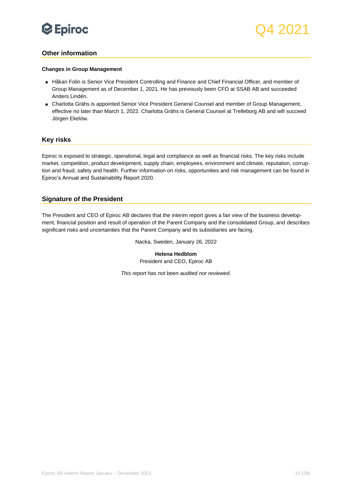

### <span id="page-14-0"></span>**Other information**

#### **Changes in Group Management**

- Håkan Folin is Senior Vice President Controlling and Finance and Chief Financial Officer, and member of Group Management as of December 1, 2021. He has previously been CFO at SSAB AB and succeeded Anders Lindén.
- Charlotta Grähs is appointed Senior Vice President General Counsel and member of Group Management, effective no later than March 1, 2022. Charlotta Grähs is General Counsel at Trelleborg AB and will succeed Jörgen Ekelöw.

### <span id="page-14-1"></span>**Key risks**

Epiroc is exposed to strategic, operational, legal and compliance as well as financial risks. The key risks include market, competition, product development, supply chain, employees, environment and climate, reputation, corruption and fraud, safety and health. Further information on risks, opportunities and risk management can be found in Epiroc's Annual and Sustainability Report 2020.

#### <span id="page-14-2"></span>**Signature of the President**

The President and CEO of Epiroc AB declares that the interim report gives a fair view of the business development, financial position and result of operation of the Parent Company and the consolidated Group, and describes significant risks and uncertainties that the Parent Company and its subsidiaries are facing.

Nacka, Sweden, January 26, 2022

**Helena Hedblom** President and CEO, Epiroc AB

*This report has not been audited nor reviewed.*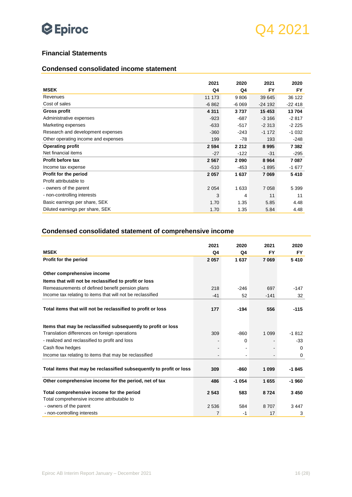

### <span id="page-15-0"></span>**Financial Statements**

### <span id="page-15-1"></span>**Condensed consolidated income statement**

|                                     | 2021    | 2020    | 2021     | 2020     |
|-------------------------------------|---------|---------|----------|----------|
| <b>MSEK</b>                         | Q4      | Q4      | FY       | FY       |
| Revenues                            | 11 173  | 9806    | 39 645   | 36 122   |
| Cost of sales                       | $-6862$ | $-6069$ | $-24192$ | $-22418$ |
| <b>Gross profit</b>                 | 4 3 1 1 | 3737    | 15 4 53  | 13704    |
| Administrative expenses             | $-923$  | $-687$  | $-3166$  | $-2817$  |
| Marketing expenses                  | $-633$  | $-517$  | $-2313$  | $-2225$  |
| Research and development expenses   | $-360$  | $-243$  | $-1172$  | $-1032$  |
| Other operating income and expenses | 199     | -78     | 193      | $-248$   |
| <b>Operating profit</b>             | 2 5 9 4 | 2 2 1 2 | 8995     | 7 3 8 2  |
| Net financial items                 | $-27$   | $-122$  | $-31$    | $-295$   |
| <b>Profit before tax</b>            | 2567    | 2090    | 8964     | 7087     |
| Income tax expense                  | $-510$  | -453    | $-1895$  | $-1677$  |
| Profit for the period               | 2 0 5 7 | 1637    | 7069     | 5410     |
| Profit attributable to              |         |         |          |          |
| - owners of the parent              | 2 0 5 4 | 1 6 3 3 | 7 0 5 8  | 5 3 9 9  |
| - non-controlling interests         | 3       | 4       | 11       | 11       |
| Basic earnings per share, SEK       | 1.70    | 1.35    | 5.85     | 4.48     |
| Diluted earnings per share, SEK     | 1.70    | 1.35    | 5.84     | 4.48     |

## <span id="page-15-2"></span>**Condensed consolidated statement of comprehensive income**

|                                                                     | 2021    | 2020     | 2021    | 2020      |
|---------------------------------------------------------------------|---------|----------|---------|-----------|
| <b>MSEK</b>                                                         | Q4      | Q4       | FY      | <b>FY</b> |
| Profit for the period                                               | 2 0 5 7 | 1637     | 7 0 69  | 5410      |
|                                                                     |         |          |         |           |
| Other comprehensive income                                          |         |          |         |           |
| Items that will not be reclassified to profit or loss               |         |          |         |           |
| Remeasurements of defined benefit pension plans                     | 218     | $-246$   | 697     | $-147$    |
| Income tax relating to items that will not be reclassified          | $-41$   | 52       | $-141$  | 32        |
|                                                                     |         |          |         |           |
| Total items that will not be reclassified to profit or loss         | 177     | $-194$   | 556     | $-115$    |
|                                                                     |         |          |         |           |
| Items that may be reclassified subsequently to profit or loss       |         |          |         |           |
| Translation differences on foreign operations                       | 309     | $-860$   | 1 0 9 9 | $-1812$   |
| - realized and reclassified to profit and loss                      |         | $\Omega$ |         | $-33$     |
| Cash flow hedges                                                    |         |          |         | 0         |
| Income tax relating to items that may be reclassified               |         |          |         | 0         |
|                                                                     |         |          |         |           |
| Total items that may be reclassified subsequently to profit or loss | 309     | -860     | 1 0 9 9 | -1845     |
| Other comprehensive income for the period, net of tax               | 486     | $-1054$  | 1655    | $-1960$   |
|                                                                     |         |          |         |           |
| Total comprehensive income for the period                           | 2 5 4 3 | 583      | 8724    | 3450      |
| Total comprehensive income attributable to                          |         |          |         |           |
| - owners of the parent                                              | 2 5 3 6 | 584      | 8707    | 3447      |
| - non-controlling interests                                         | 7       | -1       | 17      | 3         |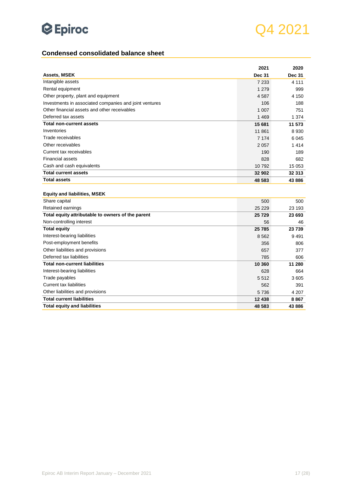

## <span id="page-16-0"></span>**Condensed consolidated balance sheet**

|                                                        | 2021          | 2020          |
|--------------------------------------------------------|---------------|---------------|
| <b>Assets, MSEK</b>                                    | <b>Dec 31</b> | <b>Dec 31</b> |
| Intangible assets                                      | 7 2 3 3       | 4 1 1 1       |
| Rental equipment                                       | 1 2 7 9       | 999           |
| Other property, plant and equipment                    | 4587          | 4 150         |
| Investments in associated companies and joint ventures | 106           | 188           |
| Other financial assets and other receivables           | 1 0 0 7       | 751           |
| Deferred tax assets                                    | 1469          | 1 3 7 4       |
| <b>Total non-current assets</b>                        | 15 681        | 11 573        |
| Inventories                                            | 11 861        | 8 9 3 0       |
| Trade receivables                                      | 7 1 7 4       | 6 0 4 5       |
| Other receivables                                      | 2057          | 1414          |
| Current tax receivables                                | 190           | 189           |
| <b>Financial assets</b>                                | 828           | 682           |
| Cash and cash equivalents                              | 10792         | 15 053        |
| <b>Total current assets</b>                            | 32 902        | 32 313        |
| <b>Total assets</b>                                    | 48 583        | 43 886        |
|                                                        |               |               |
| <b>Equity and liabilities, MSEK</b>                    |               |               |
| Share capital                                          | 500           | 500           |
| Retained earnings                                      | 25 2 2 9      | 23 193        |
| Total equity attributable to owners of the parent      | 25729         | 23 693        |
| Non-controlling interest                               | 56            | 46            |
| <b>Total equity</b>                                    | 25785         | 23739         |
| Interest-bearing liabilities                           | 8562          | 9491          |
| Post-employment benefits                               | 356           | 806           |
| Other liabilities and provisions                       | 657           | 377           |
| Deferred tax liabilities                               | 785           | 606           |
| <b>Total non-current liabilities</b>                   | 10 360        | 11 280        |
| Interest-bearing liabilities                           | 628           | 664           |
| Trade payables                                         | 5512          | 3 605         |
| Current tax liabilities                                | 562           | 391           |
| Other liabilities and provisions                       | 5736          | 4 207         |
| <b>Total current liabilities</b>                       | 12 438        | 8867          |
| <b>Total equity and liabilities</b>                    | 48 583        | 43 886        |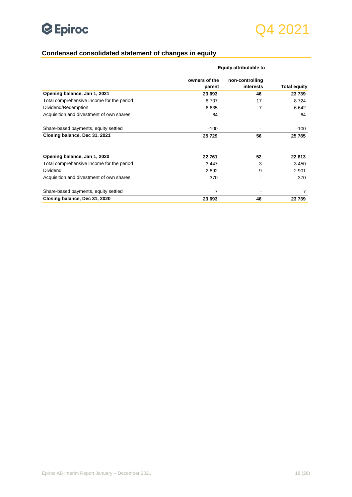

## <span id="page-17-0"></span>**Condensed consolidated statement of changes in equity**

|                                           |                         | <b>Equity attributable to</b> |                     |
|-------------------------------------------|-------------------------|-------------------------------|---------------------|
|                                           | owners of the<br>parent | non-controlling<br>interests  | <b>Total equity</b> |
| Opening balance, Jan 1, 2021              | 23 693                  | 46                            | 23 739              |
| Total comprehensive income for the period | 8707                    | 17                            | 8724                |
| Dividend/Redemption                       | $-6635$                 | $-7$                          | $-6642$             |
| Acquisition and divestment of own shares  | 64                      |                               | 64                  |
| Share-based payments, equity settled      | $-100$                  |                               | $-100$              |
| Closing balance, Dec 31, 2021             | 25729                   | 56                            | 25 785              |
| Opening balance, Jan 1, 2020              | 22761                   | 52                            | 22 813              |
| Total comprehensive income for the period | 3447                    | 3                             | 3450                |
| Dividend                                  | $-2892$                 | -9                            | $-2901$             |
| Acquisition and divestment of own shares  | 370                     |                               | 370                 |
| Share-based payments, equity settled      | $\overline{7}$          |                               | 7                   |
| Closing balance, Dec 31, 2020             | 23 693                  | 46                            | 23739               |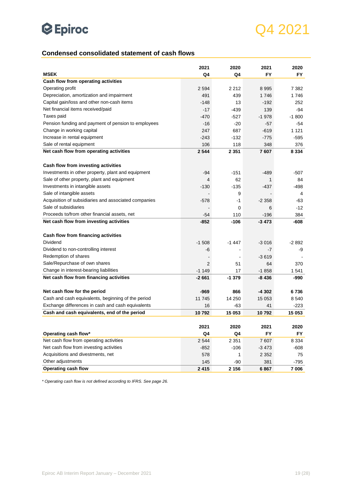## Q4 2021

## <span id="page-18-0"></span>**Condensed consolidated statement of cash flows**

|                                                      | 2021    | 2020    | 2021    | 2020    |
|------------------------------------------------------|---------|---------|---------|---------|
| <b>MSEK</b>                                          | Q4      | Q4      | FY      | FY      |
| Cash flow from operating activities                  |         |         |         |         |
| Operating profit                                     | 2 5 9 4 | 2 2 1 2 | 8995    | 7 3 8 2 |
| Depreciation, amortization and impairment            | 491     | 439     | 1746    | 1746    |
| Capital gain/loss and other non-cash items           | $-148$  | 13      | $-192$  | 252     |
| Net financial items received/paid                    | $-17$   | -439    | 139     | -94     |
| Taxes paid                                           | $-470$  | -527    | $-1978$ | -1 800  |
| Pension funding and payment of pension to employees  | $-16$   | -20     | $-57$   | -54     |
| Change in working capital                            | 247     | 687     | $-619$  | 1 1 2 1 |
| Increase in rental equipment                         | $-243$  | $-132$  | -775    | -595    |
| Sale of rental equipment                             | 106     | 118     | 348     | 376     |
| Net cash flow from operating activities              | 2 5 4 4 | 2 3 5 1 | 7607    | 8 3 3 4 |
|                                                      |         |         |         |         |
| Cash flow from investing activities                  |         |         |         |         |
| Investments in other property, plant and equipment   | $-94$   | $-151$  | $-489$  | $-507$  |
| Sale of other property, plant and equipment          | 4       | 62      | 1       | 84      |
| Investments in intangible assets                     | $-130$  | -135    | -437    | -498    |
| Sale of intangible assets                            |         | 9       |         | 4       |
| Acquisition of subsidiaries and associated companies | $-578$  | -1      | $-2358$ | -63     |
| Sale of subsidiaries                                 |         | 6       | $-12$   |         |
| Proceeds to/from other financial assets, net         | $-54$   | 110     | -196    | 384     |
| Net cash flow from investing activities              | $-852$  | -106    | $-3473$ | -608    |
|                                                      |         |         |         |         |
| Cash flow from financing activities                  |         |         |         |         |
| Dividend                                             | $-1508$ | -1 447  | $-3016$ | $-2892$ |
| Dividend to non-controlling interest                 | -6      |         | $-7$    | -9      |
| Redemption of shares                                 |         |         | $-3619$ |         |
| Sale/Repurchase of own shares                        | 2       | 51      | 64      | 370     |
| Change in interest-bearing liabilities               | $-1149$ | 17      | $-1858$ | 1 541   |
| Net cash flow from financing activities              | $-2661$ | $-1379$ | -8 436  | -990    |
|                                                      |         |         |         |         |
| Net cash flow for the period                         | -969    | 866     | -4 302  | 6736    |
| Cash and cash equivalents, beginning of the period   | 11 745  | 14 250  | 15 053  | 8 5 4 0 |
| Exchange differences in cash and cash equivalents    | 16      | -63     | 41      | -223    |
| Cash and cash equivalents, end of the period         | 10792   | 15 053  | 10792   | 15 053  |
|                                                      |         |         |         |         |
|                                                      | 2021    | 2020    | 2021    | 2020    |
| Operating cash flow*                                 | Q4      | Q4      | FY      | FY      |
| Net cash flow from operating activities              | 2 5 4 4 | 2 3 5 1 | 7607    | 8 3 3 4 |
| Net cash flow from investing activities              | $-852$  | $-106$  | $-3473$ | -608    |
| Acquisitions and divestments, net                    | 578     | 1       | 2 3 5 2 | 75      |
| Other adjustments                                    | 145     | -90     | 381     | -795    |
| Operating cash flow                                  | 2 4 1 5 | 2 1 5 6 | 6867    | 7 006   |

*\* Operating cash flow is not defined according to IFRS. See page 26.*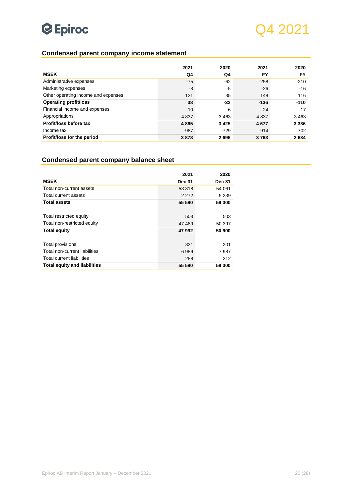

## <span id="page-19-0"></span>**Condensed parent company income statement**

|                                     | 2021    | 2020   | 2021   | 2020    |
|-------------------------------------|---------|--------|--------|---------|
| <b>MSEK</b>                         | Q4      | Q4     | FY     | FY      |
| Administrative expenses             | $-75$   | $-62$  | $-258$ | $-210$  |
| Marketing expenses                  | -8      | -5     | $-26$  | $-16$   |
| Other operating income and expenses | 121     | 35     | 148    | 116     |
| <b>Operating profit/loss</b>        | 38      | $-32$  | $-136$ | $-110$  |
| Financial income and expenses       | $-10$   | -6     | $-24$  | $-17$   |
| Appropriations                      | 4 8 3 7 | 3463   | 4837   | 3 4 6 3 |
| Profit/loss before tax              | 4865    | 3425   | 4677   | 3 3 3 6 |
| Income tax                          | $-987$  | $-729$ | $-914$ | $-702$  |
| Profit/loss for the period          | 3878    | 2696   | 3763   | 2634    |

## <span id="page-19-1"></span>**Condensed parent company balance sheet**

|                                     | 2021          | 2020          |
|-------------------------------------|---------------|---------------|
| <b>MSEK</b>                         | <b>Dec 31</b> | <b>Dec 31</b> |
| Total non-current assets            | 53 318        | 54 061        |
| Total current assets                | 2 2 7 2       | 5 2 3 9       |
| <b>Total assets</b>                 | 55 590        | 59 300        |
|                                     |               |               |
| Total restricted equity             | 503           | 503           |
| Total non-restricted equity         | 47 489        | 50 397        |
| <b>Total equity</b>                 | 47992         | 50 900        |
|                                     |               |               |
| Total provisions                    | 321           | 201           |
| Total non-current liabilities       | 6989          | 7987          |
| <b>Total current liabilities</b>    | 288           | 212           |
| <b>Total equity and liabilities</b> | 55 590        | 59 300        |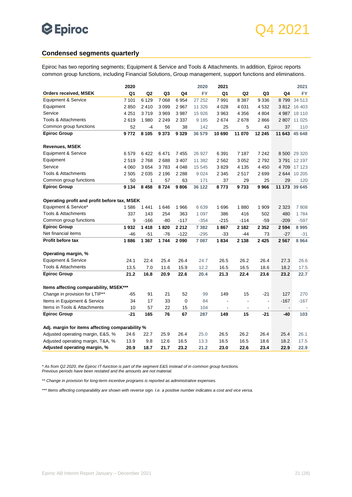

### <span id="page-20-0"></span>**Condensed segments quarterly**

Epiroc has two reporting segments; Equipment & Service and Tools & Attachments. In addition, Epiroc reports common group functions, including Financial Solutions, Group management, support functions and eliminations.

|                                                                                                        | 2020        |             |             |             | 2020               | 2021                     |                |                |                          | 2021         |
|--------------------------------------------------------------------------------------------------------|-------------|-------------|-------------|-------------|--------------------|--------------------------|----------------|----------------|--------------------------|--------------|
| <b>Orders received, MSEK</b>                                                                           | Q1          | Q2          | Q3          | Q4          | <b>FY</b>          | Q <sub>1</sub>           | Q2             | Q3             | Q4                       | FY           |
| <b>Equipment &amp; Service</b>                                                                         | 7 101       | 6 1 2 9     | 7 0 68      | 6954        | 27 25 2            | 7991                     | 8 3 8 7        | 9 3 3 6        | 8799                     | 34 513       |
| Equipment                                                                                              | 2850        | 2410        | 3 0 9 9     | 2 9 6 7     | 11 326             | 4 0 28                   | 4 0 31         | 4532           | 3812                     | 16 403       |
| Service                                                                                                | 4 2 5 1     | 3719        | 3 9 6 9     | 3987        | 15 9 26            | 3963                     | 4 3 5 6        | 4 8 0 4        | 4 9 8 7                  | 18 110       |
| <b>Tools &amp; Attachments</b>                                                                         | 2619        | 1 980       | 2 2 4 9     | 2 3 3 7     | 9 1 8 5            | 2674                     | 2678           | 2866           | 2807                     | 11 0 25      |
| Common group functions                                                                                 | 52          | $-4$        | 56          | 38          | 142                | 25                       | 5              | 43             | 37                       | 110          |
| <b>Epiroc Group</b>                                                                                    | 9772        | 8 1 0 5     | 9373        | 9 3 2 9     | 36 579             | 10 690                   | 11 070         | 12 245         | 11 643                   | 45 648       |
| <b>Revenues, MSEK</b>                                                                                  |             |             |             |             |                    |                          |                |                |                          |              |
| <b>Equipment &amp; Service</b>                                                                         | 6579        | 6422        | 6471        | 7455        | 26 927             | 6 3 9 1                  | 7 187          | 7 2 4 2        |                          | 8 500 29 320 |
| Equipment                                                                                              | 2519        | 2768        | 2688        | 3 4 0 7     | 11 382             | 2 5 6 2                  | 3 0 5 2        | 2792           | 3791                     | 12 197       |
| Service                                                                                                | 4 0 6 0     | 3654        | 3783        | 4 0 4 8     | 15 545             | 3829                     | 4 1 3 5        | 4 4 5 0        | 4709                     | 17 123       |
| Tools & Attachments                                                                                    | 2 5 0 5     | 2 0 3 5     | 2 196       | 2 2 8 8     | 9 0 2 4            | 2 3 4 5                  | 2517           | 2699           | 2644                     | 10 205       |
| Common group functions                                                                                 | 50          | 1           | 57          | 63          | 171                | 37                       | 29             | 25             | 29                       | 120          |
| <b>Epiroc Group</b>                                                                                    | 9 1 3 4     | 8 4 5 8     | 8724        | 9806        | 36 122             | 8773                     | 9733           | 9966           | 11 173                   | 39 645       |
| Operating profit and profit before tax, MSEK<br>Equipment & Service*<br><b>Tools &amp; Attachments</b> | 1586<br>337 | 1441<br>143 | 1646<br>254 | 1966<br>363 | 6 6 3 9<br>1 0 9 7 | 1696<br>386              | 1880<br>416    | 1 909<br>502   | 2 3 2 3<br>480           | 7808<br>1784 |
| Common group functions                                                                                 | 9           | $-166$      | -80         | $-117$      | $-354$             | $-215$                   | $-114$         | $-59$          | $-209$                   | $-597$       |
| <b>Epiroc Group</b>                                                                                    | 1932        | 1418        | 1820        | 2 2 1 2     | 7 3 8 2            | 1867                     | 2 1 8 2        | 2 3 5 2        | 2 5 9 4                  | 8995         |
| Net financial items                                                                                    | -46         | $-51$       | $-76$       | $-122$      | $-295$             | $-33$                    | -44            | 73             | $-27$                    | $-31$        |
| Profit before tax                                                                                      | 1886        | 1 3 6 7     | 1744        | 2090        | 7 087              | 1834                     | 2 1 3 8        | 2425           | 2567                     | 8 9 64       |
| Operating margin, %                                                                                    |             |             |             |             |                    |                          |                |                |                          |              |
| <b>Equipment &amp; Service</b>                                                                         | 24.1        | 22.4        | 25.4        | 26.4        | 24.7               | 26.5                     | 26.2           | 26.4           | 27.3                     | 26.6         |
| Tools & Attachments                                                                                    | 13.5        | 7.0         | 11.6        | 15.9        | 12.2               | 16.5                     | 16.5           | 18.6           | 18.2                     | 17.5         |
| <b>Epiroc Group</b>                                                                                    | 21.2        | 16.8        | 20.9        | 22.6        | 20.4               | 21.3                     | 22.4           | 23.6           | 23.2                     | 22.7         |
| Items affecting comparability, MSEK***                                                                 |             |             |             |             |                    |                          |                |                |                          |              |
| Change in provision for LTIP**                                                                         | -65         | 91          | 21          | 52          | 99                 | 149                      | 15             | $-21$          | 127                      | 270          |
| Items in Equipment & Service                                                                           | 34          | 17          | 33          | $\mathbf 0$ | 84                 | $\overline{\phantom{a}}$ | $\overline{a}$ | $\overline{a}$ | $-167$                   | $-167$       |
| Items in Tools & Attachments                                                                           | 10          | 57          | 22          | 15          | 104                | $\overline{\phantom{a}}$ | $\blacksquare$ | $\blacksquare$ | $\overline{\phantom{a}}$ |              |
| <b>Epiroc Group</b>                                                                                    | $-21$       | 165         | 76          | 67          | 287                | 149                      | 15             | $-21$          | $-40$                    | 103          |
| Adj. margin for items affecting comparability %                                                        |             |             |             |             |                    |                          |                |                |                          |              |
| Adjusted operating margin, E&S, %                                                                      | 24.6        | 22.7        | 25.9        | 26.4        | 25.0               | 26.5                     | 26.2           | 26.4           | 25.4                     | 26.1         |
| Adjusted operating margin, T&A, %                                                                      | 13.9        | 9.8         | 12.6        | 16.5        | 13.3               | 16.5                     | 16.5           | 18.6           | 18.2                     | 17.5         |
| Adjusted operating margin, %                                                                           | 20.9        | 18.7        | 21.7        | 23.2        | 21.2               | 23.0                     | 22.6           | 23.4           | 22.9                     | 22.9         |

*\* As from Q2 2020, the Epiroc IT-function is part of the segment E&S instead of in common group functions. Previous periods have been restated and the amounts are not material.*

*\*\* Change in provision for long-term incentive programs is reported as administrative expenses.*

*\*\*\* Items affecting comparability are shown with reverse sign. I.e. a positive number indicates a cost and vice versa.*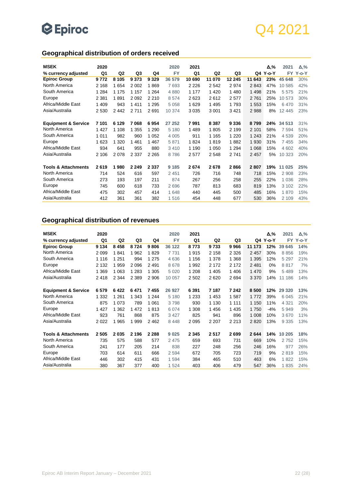## Q4 2021

## <span id="page-21-0"></span>**Geographical distribution of orders received**

| <b>MSEK</b>                    | 2020    |                |         |         | 2020      | 2021    |                |         |         | Δ,%      | 2021    | $\Delta, \%$ |
|--------------------------------|---------|----------------|---------|---------|-----------|---------|----------------|---------|---------|----------|---------|--------------|
| % currency adjusted            | Q1      | Q <sub>2</sub> | Q3      | Q4      | <b>FY</b> | Q1      | Q <sub>2</sub> | Q3      |         | Q4 Y-o-Y | FY.     | $Y$ -o- $Y$  |
| <b>Epiroc Group</b>            | 9772    | 8 1 0 5        | 9 3 7 3 | 9 3 2 9 | 36 579    | 10 690  | 11 070         | 12 245  | 11 643  | 23%      | 45 648  | 30%          |
| North America                  | 2 1 6 8 | 1654           | 2 0 0 2 | 1869    | 7693      | 2 2 2 6 | 2542           | 2974    | 2843    | 47%      | 10 585  | 42%          |
| South America                  | 1 2 8 4 | 1 1 7 5        | 1 1 5 7 | 1 2 6 4 | 4880      | 1 177   | 1 4 2 0        | 1 4 8 0 | 1 4 9 8 | 21%      | 5575    | 21%          |
| Europe                         | 2 3 8 1 | 1891           | 2092    | 2 2 1 0 | 8574      | 2623    | 2612           | 2577    | 2761    | 25%      | 10 573  | 30%          |
| Africa/Middle East             | 1 409   | 943            | 1411    | 1 2 9 5 | 5 0 5 8   | 1629    | 1495           | 1793    | 1 5 5 3 | 15%      | 6470    | 31%          |
| Asia/Australia                 | 2 5 3 0 | 2442           | 2711    | 2691    | 10 374    | 3 0 3 5 | 3 0 0 1        | 3 4 21  | 2988    | 8%       | 12 4 45 | 23%          |
|                                |         |                |         |         |           |         |                |         |         |          |         |              |
| <b>Equipment &amp; Service</b> | 7 101   | 6 1 2 9        | 7068    | 6954    | 27 252    | 7991    | 8 3 8 7        | 9 3 3 6 | 8799    | 24%      | 34 513  | 31%          |
| North America                  | 1 4 2 7 | 1 1 0 8        | 1 3 5 5 | 1 2 9 0 | 5 1 8 0   | 1 4 8 9 | 1805           | 2 1 9 9 | 2 1 0 1 | 58%      | 7 5 9 4 | 51%          |
| South America                  | 1 0 1 1 | 982            | 960     | 1 0 5 2 | 4 0 0 5   | 911     | 1 1 6 5        | 1 2 2 0 | 1 2 4 3 | 21%      | 4 5 3 9 | 20%          |
| Europe                         | 1 623   | 1 3 2 0        | 461     | 1 4 6 7 | 5871      | 1824    | 1819           | 1882    | 1930    | 31%      | 7455    | 34%          |
| Africa/Middle East             | 934     | 641            | 955     | 880     | 3 4 1 0   | 1 1 9 0 | 1 0 5 0        | 1 2 9 4 | 1 0 6 8 | 15%      | 4 602   | 40%          |
| Asia/Australia                 | 2 10 6  | 2078           | 2 3 3 7 | 2 2 6 5 | 8786      | 2577    | 2548           | 2741    | 2 4 5 7 | 5%       | 10 323  | 20%          |
| <b>Tools &amp; Attachments</b> | 2619    | 980<br>1       | 2 2 4 9 | 2 3 3 7 | 9 1 8 5   | 2674    | 2678           | 2866    | 2807    | 19%      | 11 025  | 25%          |
| North America                  | 714     | 524            | 616     | 597     | 2 4 5 1   | 726     | 716            | 748     | 718     | 15%      | 2 9 0 8 | 23%          |
| South America                  | 273     | 193            | 197     | 211     | 874       | 267     | 256            | 258     | 255     | 22%      | 1 0 3 6 | 28%          |
| Europe                         | 745     | 600            | 618     | 733     | 2696      | 787     | 813            | 683     | 819     | 13%      | 3 1 0 2 | 22%          |
| Africa/Middle East             | 475     | 302            | 457     | 414     | 1 648     | 440     | 445            | 500     | 485     | 16%      | 1870    | 15%          |
| Asia/Australia                 | 412     | 361            | 361     | 382     | 1516      | 454     | 448            | 677     | 530     | 36%      | 2 1 0 9 | 43%          |

## <span id="page-21-1"></span>**Geographical distribution of revenues**

| <b>MSEK</b>                    | 2020    |                |         |         | 2020      | 2021    |                |         |         | Δ,%         | 2021      | $\Delta, \%$ |
|--------------------------------|---------|----------------|---------|---------|-----------|---------|----------------|---------|---------|-------------|-----------|--------------|
| % currency adjusted            | Q1      | Q <sub>2</sub> | Q3      | Q4      | <b>FY</b> | Q1      | Q <sub>2</sub> | Q3      | Q4      | $Y$ -o- $Y$ | <b>FY</b> | $Y$ -o- $Y$  |
| <b>Epiroc Group</b>            | 9 1 3 4 | 8 4 5 8        | 8724    | 9806    | 36 122    | 8773    | 9733           | 9966    | 11 173  | 12%         | 39 645    | 14%          |
| North America                  | 2 0 9 9 | 1841           | 1962    | 1829    | 7731      | 1915    | 2 1 5 8        | 2 3 2 6 | 2 4 5 7 | 30%         | 8856      | 19%          |
| South America                  | 1 1 1 6 | 1 2 5 1        | 994     | 1 2 7 5 | 4 6 3 6   | 1 1 5 6 | 1 3 7 8        | 1 3 6 8 | 1 3 9 5 | 12%         | 5 2 9 7   | 21%          |
| Europe                         | 2 1 3 2 | 1959           | 2096    | 2 4 9 1 | 8678      | 1 9 9 2 | 2 1 7 2        | 2 1 7 2 | 2 4 8 1 | $0\%$       | 8817      | 7%           |
| Africa/Middle East             | 1 3 6 9 | 1 0 6 3        | 1 2 8 3 | 1 3 0 5 | 5 0 20    | 1 208   | 1 4 0 5        | 1 4 0 6 | 1 4 7 0 | 9%          | 5 4 8 9   | 13%          |
| Asia/Australia                 | 2418    | 2 3 4 4        | 2 3 8 9 | 2 906   | 10 057    | 2 5 0 2 | 2620           | 2694    | 3 3 7 0 | 14%         | 11 186    | 14%          |
| <b>Equipment &amp; Service</b> | 6579    | 6422           | 6471    | 7455    | 26 927    | 6 3 9 1 | 7 187          | 7 242   | 8500    | 12%         | 29 3 20   | 13%          |
| North America                  | 1 3 3 2 | 1 2 6 1        | 1 3 4 3 | 1 2 4 4 | 5 1 8 0   | 1 2 3 3 | 1453           | 1587    | 1772    | 39%         | 6 0 4 5   | 21%          |
| South America                  | 875     | 1 0 7 3        | 789     | 1 0 6 1 | 3798      | 930     | 1 1 3 0        | 1 1 1 1 | 1 150   | 11%         | 4 3 2 1   | 20%          |
| Europe                         | 1 4 2 7 | 362            | 472     | 1813    | 6 0 7 4   | 1 308   | 1456           | 1 4 3 5 | 1750    | $-4%$       | 5949      | 3%           |
| Africa/Middle East             | 923     | 761            | 868     | 875     | 3 4 2 7   | 825     | 941            | 896     | 1 0 0 8 | 10%         | 3670      | 11%          |
| Asia/Australia                 | 2 0 2 2 | 1965           | 1999    | 2462    | 8 4 4 8   | 2 0 9 5 | 2 2 0 7        | 2 2 1 3 | 2820    | 13%         | 9 3 3 5   | 13%          |
| <b>Tools &amp; Attachments</b> | 2505    | 2035           | 2 1 9 6 | 2 2 8 8 | 9 0 25    | 2 3 4 5 | 2517           | 2699    | 2644    | 14%         | 10 205    | 18%          |
| North America                  | 735     | 575            | 588     | 577     | 2 4 7 5   | 659     | 693            | 731     | 669     | 10%         | 2752      | 15%          |
| South America                  | 241     | 177            | 205     | 214     | 838       | 227     | 248            | 256     | 246     | 16%         | 977       | 26%          |
| Europe                         | 703     | 614            | 611     | 666     | 2594      | 672     | 705            | 723     | 719     | 9%          | 2819      | 15%          |
| Africa/Middle East             | 446     | 302            | 415     | 431     | 1 5 9 4   | 384     | 465            | 510     | 463     | 6%          | 1822      | 15%          |
| Asia/Australia                 | 380     | 367            | 377     | 400     | 1 524     | 403     | 406            | 479     | 547     | 36%         | 1835      | 24%          |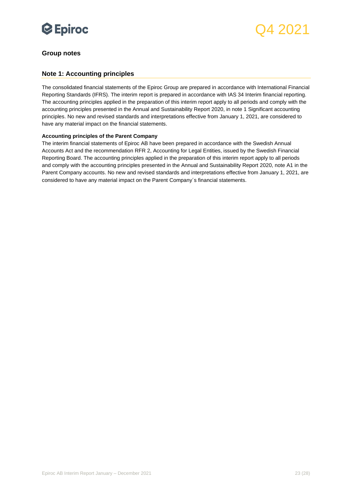

### <span id="page-22-0"></span>**Group notes**

### <span id="page-22-1"></span>**Note 1: Accounting principles**

The consolidated financial statements of the Epiroc Group are prepared in accordance with International Financial Reporting Standards (IFRS). The interim report is prepared in accordance with IAS 34 Interim financial reporting. The accounting principles applied in the preparation of this interim report apply to all periods and comply with the accounting principles presented in the Annual and Sustainability Report 2020, in note 1 Significant accounting principles. No new and revised standards and interpretations effective from January 1, 2021, are considered to have any material impact on the financial statements.

#### **Accounting principles of the Parent Company**

The interim financial statements of Epiroc AB have been prepared in accordance with the Swedish Annual Accounts Act and the recommendation RFR 2, Accounting for Legal Entities, issued by the Swedish Financial Reporting Board. The accounting principles applied in the preparation of this interim report apply to all periods and comply with the accounting principles presented in the Annual and Sustainability Report 2020, note A1 in the Parent Company accounts. No new and revised standards and interpretations effective from January 1, 2021, are considered to have any material impact on the Parent Company´s financial statements.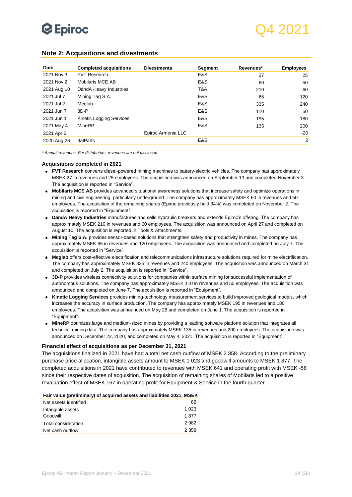

| Date        | <b>Completed acquisitions</b> | <b>Divestments</b> | <b>Segment</b> | Revenues* | <b>Employees</b> |
|-------------|-------------------------------|--------------------|----------------|-----------|------------------|
| 2021 Nov 3  | <b>FVT Research</b>           |                    | E&S            | 27        | 25               |
| 2021 Nov 2  | Mobilaris MCE AB              |                    | E&S            | 60        | 50               |
| 2021 Aug 10 | DandA Heavy Industries        |                    | T&A            | 210       | 60               |
| 2021 Jul 7  | Mining Tag S.A.               |                    | E&S            | 65        | 120              |
| 2021 Jul 2  | Meglab                        |                    | E&S            | 335       | 240              |
| 2021 Jun 7  | $3D - P$                      |                    | E&S            | 110       | 50               |
| 2021 Jun 1  | Kinetic Logging Services      |                    | E&S            | 195       | 180              |
| 2021 May 4  | MineRP                        |                    | E&S            | 135       | 200              |
| 2021 Apr 6  |                               | Epiroc Armenia LLC |                |           | $-20$            |
| 2020 Aug 26 | <b>ItalParts</b>              |                    | E&S            |           | 2                |

#### <span id="page-23-0"></span>**Note 2: Acquisitions and divestments**

*\* Annual revenues. For distributors, revenues are not disclosed.* 

#### **Acquisitions completed in 2021**

- **FVT Research** converts diesel-powered mining machines to battery-electric vehicles. The company has approximately MSEK 27 in revenues and 25 employees. The acquisition was announced on September 13 and completed November 3. The acquisition is reported in "Service".
- **Mobilaris MCE AB** provides advanced situational awareness solutions that increase safety and optimize operations in mining and civil engineering, particularly underground. The company has approximately MSEK 60 in revenues and 50 employees. The acquisition of the remaining shares (Epiroc previously held 34%) was completed on November 2. The acquisition is reported in "Equipment".
- **DandA Heavy Industries** manufactures and sells hydraulic breakers and extends Epiroc's offering. The company has approximately MSEK 210 in revenues and 60 employees. The acquisition was announced on April 27 and completed on August 10. The acquisition is reported in Tools & Attachments.
- **Mining Tag S.A.** provides sensor-based solutions that strengthen safety and productivity in mines. The company has approximately MSEK 65 in revenues and 120 employees. The acquisition was announced and completed on July 7. The acquisition is reported in "Service".
- **Meglab** offers cost-effective electrification and telecommunications infrastructure solutions required for mine electrification. The company has approximately MSEK 335 in revenues and 240 employees. The acquisition was announced on March 31 and completed on July 2. The acquisition is reported in "Service".
- **3D-P** provides wireless connectivity solutions for companies within surface mining for successful implementation of autonomous solutions. The company has approximately MSEK 110 in revenues and 50 employees. The acquisition was announced and completed on June 7. The acquisition is reported in "Equipment".
- **Kinetic Logging Services** provides mining-technology measurement services to build improved geological models, which increases the accuracy in surface production. The company has approximately MSEK 195 in revenues and 180 employees. The acquisition was announced on May 28 and completed on June 1. The acquisition is reported in "Equipment".
- **MineRP** optimizes large and medium-sized mines by providing a leading software platform solution that integrates all technical mining data. The company has approximately MSEK 135 in revenues and 200 employees. The acquisition was announced on December 22, 2020, and completed on May 4, 2021. The acquisition is reported in "Equipment".

#### **Financial effect of acquisitions as per December 31, 2021**

The acquisitions finalized in 2021 have had a total net cash outflow of MSEK 2 358. According to the preliminary purchase price allocation, intangible assets amount to MSEK 1 023 and goodwill amounts to MSEK 1 877. The completed acquisitions in 2021 have contributed to revenues with MSEK 641 and operating profit with MSEK -56 since their respective dates of acquisition. The acquisition of remaining shares of Mobilaris led to a positive revaluation effect of MSEK 167 in operating profit for Equipment & Service in the fourth quarter.

| Fair value (preliminary) of acquired assets and liabilities 2021, MSEK |  |
|------------------------------------------------------------------------|--|
|------------------------------------------------------------------------|--|

| Net assets identified | 82      |
|-----------------------|---------|
| Intangible assets     | 1 0 2 3 |
| Goodwill              | 1877    |
| Total consideration   | 2982    |
| Net cash outflow      | 2 3 5 8 |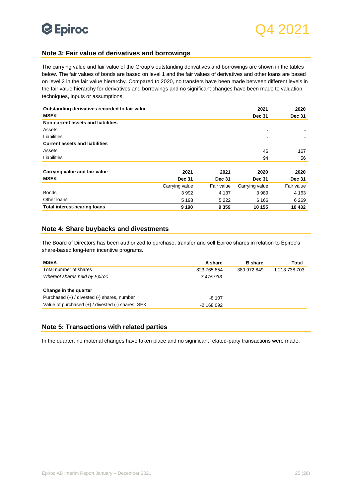

### <span id="page-24-0"></span>**Note 3: Fair value of derivatives and borrowings**

The carrying value and fair value of the Group's outstanding derivatives and borrowings are shown in the tables below. The fair values of bonds are based on level 1 and the fair values of derivatives and other loans are based on level 2 in the fair value hierarchy. Compared to 2020, no transfers have been made between different levels in the fair value hierarchy for derivatives and borrowings and no significant changes have been made to valuation techniques, inputs or assumptions.

| Outstanding derivatives recorded to fair value |                |               | 2021           | 2020          |
|------------------------------------------------|----------------|---------------|----------------|---------------|
| <b>MSEK</b>                                    |                |               | <b>Dec 31</b>  | <b>Dec 31</b> |
| Non-current assets and liabilities             |                |               |                |               |
| Assets                                         |                |               | ۰              |               |
| Liabilities                                    |                |               |                |               |
| <b>Current assets and liabilities</b>          |                |               |                |               |
| Assets                                         |                |               | 46             | 167           |
| Liabilities                                    |                |               | 94             | 56            |
|                                                |                |               |                |               |
| Carrying value and fair value                  | 2021           | 2021          | 2020           | 2020          |
| <b>MSEK</b>                                    | <b>Dec 31</b>  | <b>Dec 31</b> | <b>Dec 31</b>  | <b>Dec 31</b> |
|                                                | Carrying value | Fair value    | Carrying value | Fair value    |
| <b>Bonds</b>                                   | 3992           | 4 1 3 7       | 3989           | 4 1 6 3       |
| Other loans                                    | 5 1 9 8        | 5 2 2 2       | 6 1 6 6        | 6 2 6 9       |
| <b>Total interest-bearing loans</b>            | 9 1 9 0        | 9 3 5 9       | 10 155         | 10 432        |

### <span id="page-24-1"></span>**Note 4: Share buybacks and divestments**

The Board of Directors has been authorized to purchase, transfer and sell Epiroc shares in relation to Epiroc's share-based long-term incentive programs.

| <b>MSEK</b>                                           | A share      | <b>B</b> share | Total         |
|-------------------------------------------------------|--------------|----------------|---------------|
| Total number of shares                                | 823 765 854  | 389 972 849    | 1 213 738 703 |
| Whereof shares held by Epiroc                         | 7475933      |                |               |
| Change in the quarter                                 |              |                |               |
| Purchased (+) / divested (-) shares, number           | $-8107$      |                |               |
| Value of purchased $(+)$ / divested $(-)$ shares, SEK | $-2$ 168 092 |                |               |

#### <span id="page-24-2"></span>**Note 5: Transactions with related parties**

In the quarter, no material changes have taken place and no significant related-party transactions were made.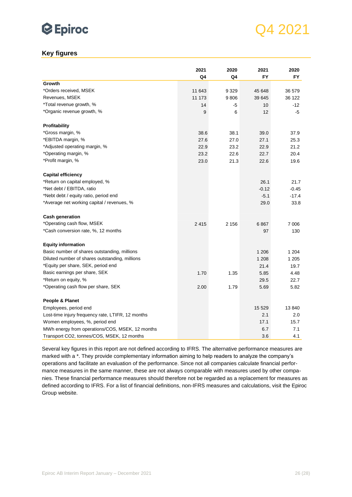

## <span id="page-25-0"></span>**Key figures**

|                                                   | 2021   | 2020    | 2021    | 2020    |
|---------------------------------------------------|--------|---------|---------|---------|
|                                                   | Q4     | Q4      | FY      | FY      |
| Growth                                            |        |         |         |         |
| *Orders received, MSEK                            | 11 643 | 9 3 2 9 | 45 648  | 36 579  |
| Revenues, MSEK                                    | 11 173 | 9806    | 39 645  | 36 122  |
| *Total revenue growth, %                          | 14     | -5      | 10      | $-12$   |
| *Organic revenue growth, %                        | 9      | 6       | 12      | -5      |
| Profitability                                     |        |         |         |         |
| *Gross margin, %                                  | 38.6   | 38.1    | 39.0    | 37.9    |
| *EBITDA margin, %                                 | 27.6   | 27.0    | 27.1    | 25.3    |
| *Adjusted operating margin, %                     | 22.9   | 23.2    | 22.9    | 21.2    |
| *Operating margin, %                              | 23.2   | 22.6    | 22.7    | 20.4    |
| *Profit margin, %                                 | 23.0   | 21.3    | 22.6    | 19.6    |
| <b>Capital efficiency</b>                         |        |         |         |         |
| *Return on capital employed, %                    |        |         | 26.1    | 21.7    |
| *Net debt / EBITDA, ratio                         |        |         | $-0.12$ | $-0.45$ |
| *Nebt debt / equity ratio, period end             |        |         | $-5.1$  | $-17.4$ |
| *Average net working capital / revenues, %        |        |         | 29.0    | 33.8    |
| <b>Cash generation</b>                            |        |         |         |         |
| *Operating cash flow, MSEK                        | 2415   | 2 1 5 6 | 6867    | 7 0 0 6 |
| *Cash conversion rate, %, 12 months               |        |         | 97      | 130     |
| <b>Equity information</b>                         |        |         |         |         |
| Basic number of shares outstanding, millions      |        |         | 1 206   | 1 204   |
| Diluted number of shares outstanding, millions    |        |         | 1 2 0 8 | 1 2 0 5 |
| *Equity per share, SEK, period end                |        |         | 21.4    | 19.7    |
| Basic earnings per share, SEK                     | 1.70   | 1.35    | 5.85    | 4.48    |
| *Return on equity, %                              |        |         | 29.5    | 22.7    |
| *Operating cash flow per share, SEK               | 2.00   | 1.79    | 5.69    | 5.82    |
| People & Planet                                   |        |         |         |         |
| Employees, period end                             |        |         | 15 5 29 | 13 840  |
| Lost-time injury frequency rate, LTIFR, 12 months |        |         | 2.1     | 2.0     |
| Women employees, %, period end                    |        |         | 17.1    | 15.7    |
| MWh energy from operations/COS, MSEK, 12 months   |        |         | 6.7     | 7.1     |
| Transport CO2, tonnes/COS, MSEK, 12 months        |        |         | 3.6     | 4.1     |

Several key figures in this report are not defined according to IFRS. The alternative performance measures are marked with a \*. They provide complementary information aiming to help readers to analyze the company's operations and facilitate an evaluation of the performance. Since not all companies calculate financial performance measures in the same manner, these are not always comparable with measures used by other companies. These financial performance measures should therefore not be regarded as a replacement for measures as defined according to IFRS. For a list of financial definitions, non-IFRS measures and calculations, visit the Epiroc Group website.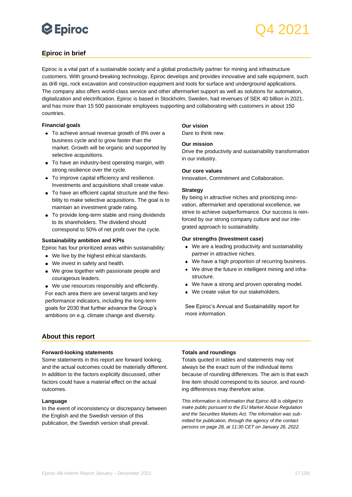## Q4 2021

## <span id="page-26-0"></span>**Epiroc in brief**

Epiroc is a vital part of a sustainable society and a global productivity partner for mining and infrastructure customers. With ground-breaking technology, Epiroc develops and provides innovative and safe equipment, such as drill rigs, rock excavation and construction equipment and tools for surface and underground applications. The company also offers world-class service and other aftermarket support as well as solutions for automation, digitalization and electrification. Epiroc is based in Stockholm, Sweden, had revenues of SEK 40 billion in 2021, and has more than 15 500 passionate employees supporting and collaborating with customers in about 150 countries.

#### **Financial goals**

- To achieve annual revenue growth of 8% over a business cycle and to grow faster than the market. Growth will be organic and supported by selective acquisitions.
- To have an industry-best operating margin, with strong resilience over the cycle.
- To improve capital efficiency and resilience. Investments and acquisitions shall create value.
- To have an efficient capital structure and the flexibility to make selective acquisitions. The goal is to maintain an investment grade rating.
- To provide long-term stable and rising dividends to its shareholders. The dividend should correspond to 50% of net profit over the cycle.

#### **Sustainability ambition and KPIs**

Epiroc has four prioritized areas within sustainability:

- We live by the highest ethical standards.
- We invest in safety and health.
- We grow together with passionate people and courageous leaders.
- We use resources responsibly and efficiently.

For each area there are several targets and key performance indicators, including the long-term goals for 2030 that further advance the Group's ambitions on e.g. climate change and diversity.

## **Our vision**

Dare to think new.

#### **Our mission**

Drive the productivity and sustainability transformation in our industry.

#### **Our core values**

Innovation, Commitment and Collaboration.

#### **Strategy**

By being in attractive niches and prioritizing innovation, aftermarket and operational excellence, we strive to achieve outperformance. Our success is reinforced by our strong company culture and our integrated approach to sustainability.

#### **Our strengths (Investment case)**

- We are a leading productivity and sustainability partner in attractive niches.
- We have a high proportion of recurring business.
- We drive the future in intelligent mining and infrastructure.
- We have a strong and proven operating model.
- We create value for our stakeholders.

See Epiroc's Annual and Sustainability report for more information.

### <span id="page-26-1"></span>**About this report**

#### **Forward-looking statements**

Some statements in this report are forward looking, and the actual outcomes could be materially different. In addition to the factors explicitly discussed, other factors could have a material effect on the actual outcomes.

#### **Language**

In the event of inconsistency or discrepancy between the English and the Swedish version of this publication, the Swedish version shall prevail.

### **Totals and roundings**

Totals quoted in tables and statements may not always be the exact sum of the individual items because of rounding differences. The aim is that each line item should correspond to its source, and rounding differences may therefore arise.

*This information is information that Epiroc AB is obliged to make public pursuant to the EU Market Abuse Regulation and the Securities Markets Act. The information was submitted for publication, through the agency of the contact persons on page 28, at 11:30 CET on January 26, 2022.*